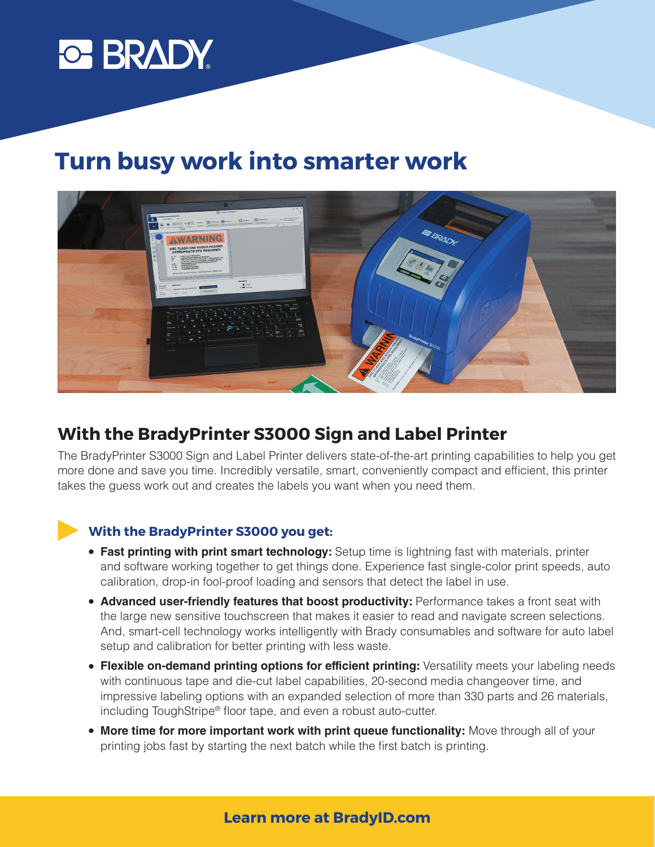

# **Turn busy work into smarter work**



## **With the BradyPrinter S3000 Sign and Label Printer**

The BradyPrinter S3000 Sign and Label Printer delivers state-of-the-art printing capabilities to help you get more done and save you time. Incredibly versatile, smart, conveniently compact and efficient, this printer takes the guess work out and creates the labels you want when you need them.

#### **With the BradyPrinter S3000 you get:**

- **Fast printing with print smart technology:** Setup time is lightning fast with materials, printer and software working together to get things done. Experience fast single-color print speeds, auto calibration, drop-in fool-proof loading and sensors that detect the label in use.
- **Advanced user-friendly features that boost productivity: Performance takes a front seat with** the large new sensitive touchscreen that makes it easier to read and navigate screen selections. And, smart-cell technology works intelligently with Brady consumables and software for auto label setup and calibration for better printing with less waste.
- **Flexible on-demand printing options for efficient printing:** Versatility meets your labeling needs with continuous tape and die-cut label capabilities, 20-second media changeover time, and impressive labeling options with an expanded selection of more than 330 parts and 26 materials, including ToughStripe® floor tape, and even a robust auto-cutter.
- **More time for more important work with print queue functionality:** Move through all of your printing jobs fast by starting the next batch while the first batch is printing.

#### **Learn more at BradyID.com**